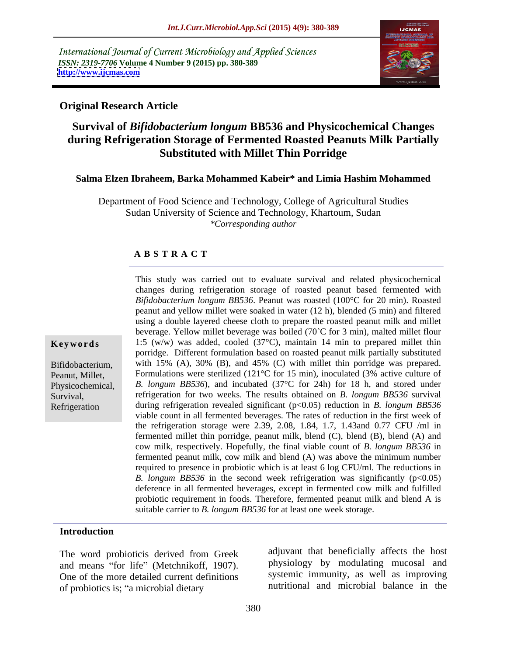International Journal of Current Microbiology and Applied Sciences *ISSN: 2319-7706* **Volume 4 Number 9 (2015) pp. 380-389 <http://www.ijcmas.com>**



# **Original Research Article**

# **Survival of** *Bifidobacterium longum* **BB536 and Physicochemical Changes during Refrigeration Storage of Fermented Roasted Peanuts Milk Partially Substituted with Millet Thin Porridge**

# **Salma Elzen Ibraheem, Barka Mohammed Kabeir\* and Limia Hashim Mohammed**

Department of Food Science and Technology, College of Agricultural Studies Sudan University of Science and Technology, Khartoum, Sudan *\*Corresponding author*

# **A B S T R A C T**

Refrigeration

This study was carried out to evaluate survival and related physicochemical changes during refrigeration storage of roasted peanut based fermented with *Bifidobacterium longum BB536*. Peanut was roasted (100°C for 20 min). Roasted peanut and yellow millet were soaked in water (12 h), blended (5 min) and filtered using a double layered cheese cloth to prepare the roasted peanut milk and millet beverage. Yellow millet beverage was boiled (70°C for 3 min), malted millet flour **Keywords** 1:5 (w/w) was added, cooled (37<sup>o</sup>C), maintain 14 min to prepared millet thin porridge. Different formulation based on roasted peanut milk partially substituted Bifidobacterium, with 15% (A), 30% (B), and 45% (C) with millet thin porridge was prepared. Formulations were sterilized (121°C for 15 min), inoculated (3% active culture of Peanut, Millet, Physicochemical, *B. longum BB536*), and incubated (37<sup>o</sup>C for 24h) for 18 h, and stored under refrigeration for two weeks. The results obtained on *B. longum BB536* survival Survival, during refrigeration revealed significant (p<0.05) reduction in *B. longum BB536* viable count in all fermented beverages. The rates of reduction in the first week of the refrigeration storage were 2.39, 2.08, 1.84, 1.7, 1.43and 0.77 CFU /ml in fermented millet thin porridge, peanut milk, blend (C), blend (B), blend (A) and cow milk, respectively. Hopefully, the final viable count of *B. longum BB536* in fermented peanut milk, cow milk and blend (A) was above the minimum number required to presence in probiotic which is at least 6 log CFU/ml. The reductions in *B. longum BB536* in the second week refrigeration was significantly (p<0.05) deference in all fermented beverages, except in fermented cow milk and fulfilled probiotic requirement in foods. Therefore, fermented peanut milk and blend A is suitable carrier to *B. longum BB536* for at least one week storage.

### **Introduction**

The word probioticis derived from Greek and means "for life" (Metchnikoff, 1907). One of the more detailed current definitions of probiotics is; "a microbial dietary

adjuvant that beneficially affects the host physiology by modulating mucosal and systemic immunity, as well as improving nutritional and microbial balance in the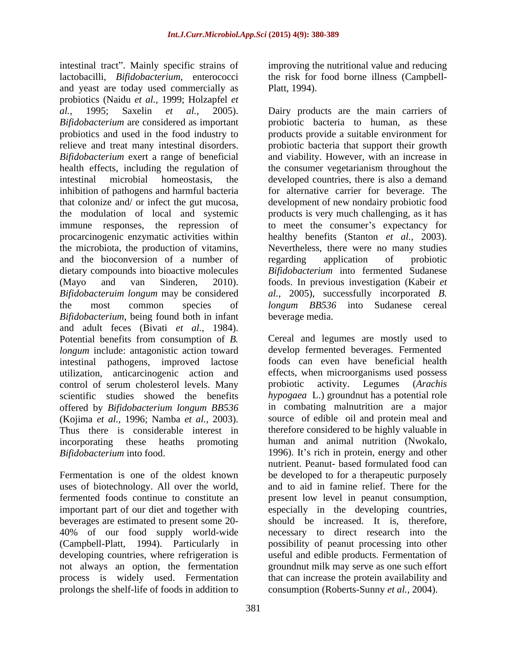intestinal tract". Mainly specific strains of lactobacilli, *Bifidobacterium*, enterococci the risk for food borne illness (Campbell and yeast are today used commercially as Platt, 1994). probiotics (Naidu *et al.,* 1999; Holzapfel *et al.,* 1995; Saxelin *et al.,* 2005). Dairy products are the main carriers of *Bifidobacterium* are considered as important probiotics and used in the food industry to products provide a suitable environment for relieve and treat many intestinal disorders. probiotic bacteria that support their growth *Bifidobacterium* exert a range of beneficial and viability. However, with an increase in health effects, including the regulation of the consumer vegetarianism throughout the intestinal microbial homeostasis, the developed countries, there is also a demand inhibition of pathogens and harmful bacteria https://www.formative.carrier\_formative.org. The that colonize and/ or infect the gut mucosa, development of new nondairy probiotic food the modulation of local and systemic immune responses, the repression of to meet the consumer's expectancy for procarcinogenic enzymatic activities within healthy benefits (Stanton *et al.,* 2003). the microbiota, the production of vitamins, Nevertheless, there were no many studies and the bioconversion of a number of regarding application of probiotic dietary compounds into bioactive molecules *Bifidobacterium* into fermented Sudanese (Mayo and van Sinderen, 2010). foods. In previous investigation (Kabeir *et Bifidobacteruim longum* may be considered *al.,* 2005), successfully incorporated *B.* the most common species of *longum BB536* into Sudanese cereal *Bifidobacterium*, being found both in infant and adult feces (Bivati *et al.,* 1984). Potential benefits from consumption of *B. longum* include: antagonistic action toward develop fermented beverages. Fermented intestinal pathogens, improved lactose utilization, anticarcinogenic action and effects, when microorganisms us<br>control of serum cholesterol levels. Many probiotic activity. Legumes control of serum cholesterol levels. Many probiotic activity. Legumes (Arachis scientific studies showed the benefits *hypogaea* L.) ground nut has a potential role offered by *Bifidobacterium longum BB536* in combating malnutrition are a major offered by *Bifidobacterium longum BB536* (Kojima *et al.,* 1996; Namba *et al.,* 2003). Thus there is considerable interest in incorporating these heaths promoting human and animal nutrition (Nwokalo,

uses of biotechnology. All over the world, beverages are estimated to present some 20 prolongs the shelf-life of foods in addition to improving the nutritional value and reducing Platt, 1994).

probiotic bacteria to human, as these products is very much challenging, as it has regarding application of probiotic beverage media.

*Bifidobacterium* into food. 1996). It's rich in protein, energy and other Fermentation is one of the oldest known be developed to for a therapeutic purposely fermented foods continue to constitute an present low level in peanut consumption, important part of our diet and together with especially in the developing countries, 40% of our food supply world-wide necessary to direct research into the (Campbell-Platt, 1994). Particularly in possibility of peanut processing into other developing countries, where refrigeration is useful and edible products. Fermentation of not always an option, the fermentation groundnut milk may serve as one such effort process is widely used. Fermentation that can increase the protein availability and Cereal and legumes are mostly used to foods can even have beneficial health effects, when microorganisms used possess probiotic activity. Legumes (*Arachis hypogaea* L.) groundnut has <sup>a</sup> potential role in combating malnutrition are <sup>a</sup> major source of edible oil and protein meal and therefore considered to be highly valuable in nutrient. Peanut- based formulated food can and to aid in famine relief. There for the should be increased. It is, therefore, consumption (Roberts-Sunny *et al.,* 2004).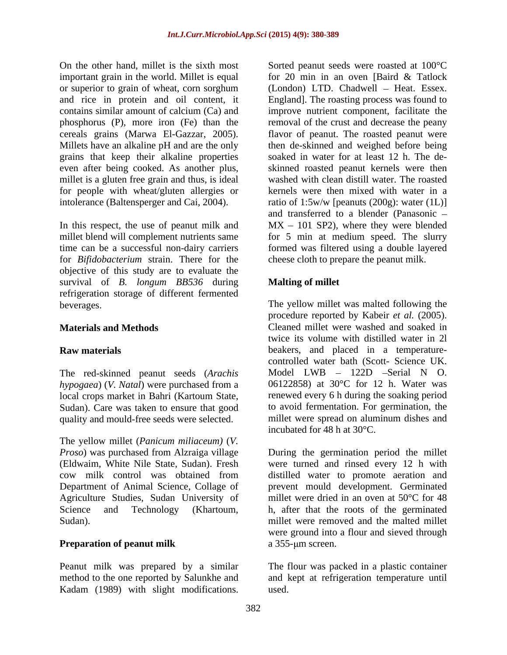important grain in the world. Millet is equal for 20 min in an oven [Baird & Tatlock] or superior to grain of wheat, corn sorghum phosphorus (P), more iron (Fe) than the grains that keep their alkaline properties even after being cooked. As another plus, millet is a gluten free grain and thus, is ideal

In this respect, the use of peanut milk and for *Bifidobacterium* strain. There for the objective of this study are to evaluate the survival of *B. longum BB536* during refrigeration storage of different fermented beverages. The yellow millet was malted following the

The red-skinned peanut seeds (*Arachis hypogaea*) (*V. Natal*) were purchased from a local crops market in Bahri (Kartoum State, Sudan). Care was taken to ensure that good

The yellow millet (*Panicum miliaceum)* (*V.* Department of Animal Science, Collage of Agriculture Studies, Sudan University of

Peanut milk was prepared by a similar The flour was packed in a plastic container method to the one reported by Salunkhe and and kept at refrigeration temperature until Kadam (1989) with slight modifications.

On the other hand, millet is the sixth most Sorted peanut seeds were roasted at 100°C and rice in protein and oil content, it England]. The roasting process was found to contains similar amount of calcium (Ca) and improve nutrient component, facilitate the cereals grains (Marwa El-Gazzar, 2005). flavor of peanut. The roasted peanut were Millets have an alkaline pH and are the only then de-skinned and weighed before being for people with wheat/gluten allergies or kernels were then mixed with water in a intolerance (Baltensperger and Cai, 2004). ratio of 1:5w/w [peanuts (200g): water (1L)] millet blend will complement nutrients same for 5 min at medium speed. The slurry time can be a successful non-dairy carriers formed was filtered using a double layered for 20 min in an oven [Baird & Tatlock  $(London)$  LTD. Chadwell – Heat. Essex. removal of the crust and decrease the peany soaked in water for at least 12 h. The de skinned roasted peanut kernels were then washed with clean distill water. The roasted and transferred to a blender (Panasonic  $MX - 101$  SP2), where they were blended cheese cloth to prepare the peanut milk.

# **Malting of millet**

**Materials and Methods** Cleaned millet were washed and soaked in **Raw materials** beakers, and placed in a temperature quality and mould-free seeds were selected. millet were spread on aluminum dishes and procedure reported by Kabeir *et al.* (2005). twice its volume with distilled water in 2l controlled water bath (Scott- Science UK. Model  $LWB - 122D$  -Serial N O. 06122858) at 30°C for 12 h. Water was renewed every 6 h during the soaking period to avoid fermentation. For germination, the incubated for 48 h at 30°C.

*Proso*) was purchased from Alzraiga village During the germination period the millet (Eldwaim, White Nile State, Sudan). Fresh were turned and rinsed every 12 h with cow milk control was obtained from distilled water to promote aeration and Science and Technology (Khartoum, h, after that the roots of the germinated Sudan). millet were removed and the malted millet **Preparation of peanut milk** a 355-um screen. prevent mould development. Germinated millet were dried in an oven at 50°C for 48 were ground into a flour and sieved through  $a$  355- $\mu$ m screen.

used.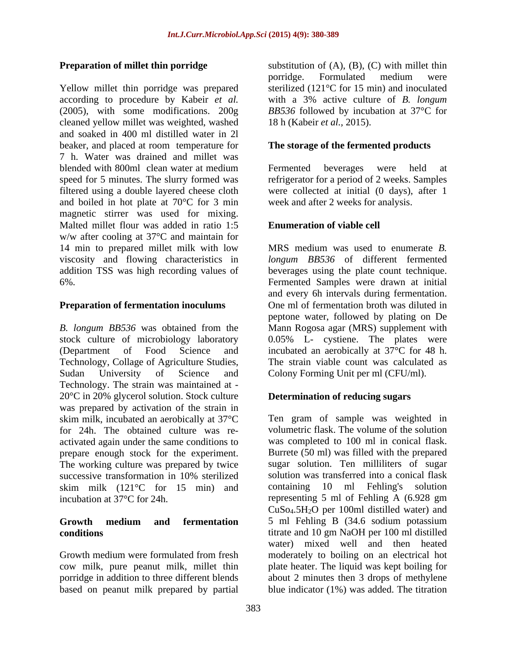Yellow millet thin porridge was prepared cleaned yellow millet was weighted, washed and soaked in 400 ml distilled water in 2l beaker, and placed at room temperature for 7 h. Water was drained and millet was blended with 800ml clean water at medium speed for 5 minutes. The slurry formed was refrigerator for a period of 2 weeks. Samples filtered using a double layered cheese cloth and boiled in hot plate at 70°C for 3 min magnetic stirrer was used for mixing. Malted millet flour was added in ratio 1:5 **Enumeration of viable cell** w/w after cooling at 37°C and maintain for 14 min to prepared millet milk with low viscosity and flowing characteristics in addition TSS was high recording values of

*B. longum BB536* was obtained from the Mann Rogosa agar (MRS) supplement with stock culture of microbiology laboratory 0.05% L- cystiene. The plates were (Department of Food Science and incubated an aerobically at 37°C for 48 h. Technology, Collage of Agriculture Studies, The strain viable count was calculated as Sudan University of Science and Colony Forming Unit per ml (CFU/ml). Technology. The strain was maintained at - 20°C in 20% glycerol solution. Stock culture was prepared by activation of the strain in skim milk, incubated an aerobically at 37°C for 24h. The obtained culture was re activated again under the same conditions to prepare enough stock for the experiment. The working culture was prepared by twice<br>successive transformation in 10% sterilized skim milk (121°C for 15 min) and containing 10 ml Fehling's solution

based on peanut milk prepared by partial

**Preparation of millet thin porridge** substitution of (A), (B), (C) with millet thin according to procedure by Kabeir *et al.* with a 3% active culture of *B. longum* (2005), with some modifications. 200g *BB536* followed by incubation at 37°C for porridge. Formulated medium were sterilized (121°C for 15 min) and inoculated 18 h (Kabeir *et al.,* 2015).

# **The storage of the fermented products**

Fermented beverages were held at were collected at initial (0 days), after 1 week and after 2 weeks for analysis.

# **Enumeration of viable cell**

6%. Fermented Samples were drawn at initial **Preparation of fermentation inoculums** One ml of fermentation broth was diluted in MRS medium was used to enumerate *B. longum BB536* of different fermented beverages using the plate count technique. and every 6h intervals during fermentation. peptone water, followed by plating on De

# **Determination of reducing sugars**

successive transformation in 10% sterilized incubation at 37°C for 24h. representing 5 ml of Fehling A (6.928 gm **Growth medium and fermentation conditions** titrate and 10 gm NaOH per 100 ml distilled Growth medium were formulated from fresh moderately to boiling on an electrical hot cow milk, pure peanut milk, millet thin plate heater. The liquid was kept boiling for porridge in addition to three different blends about 2 minutes then 3 drops of methylene Ten gram of sample was weighted in volumetric flask. The volume of the solution was completed to 100 ml in conical flask. Burrete (50 ml) was filled with the prepared sugar solution. Ten milliliters of sugar solution was transferred into a conical flask containing  $10$  ml Fehling's CuSo4.5H2O per 100ml distilled water) and 5 ml Fehling B (34.6 sodium potassium water) mixed well and then heated blue indicator (1%) was added. The titration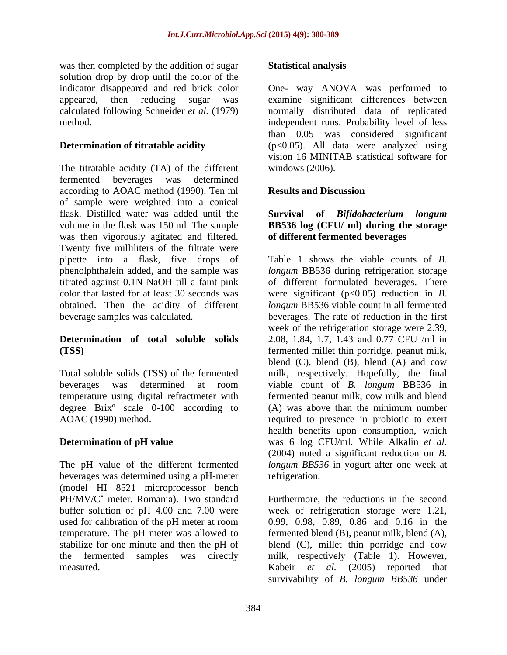was then completed by the addition of sugar **Statistical analysis** solution drop by drop until the color of the method.

The titratable acidity (TA) of the different windows (2006). fermented beverages was determined according to AOAC method (1990). Ten ml of sample were weighted into a conical flask. Distilled water was added until the **Survival of Bifidobacterium** longum volume in the flask was 150 ml. The sample **BB536 log (CFU/ ml) during the storage** was then vigorously agitated and filtered. Twenty five milliliters of the filtrate were pipette into a flask, five drops of phenolphthalein added, and the sample was

degree Brixº scale 0-100 according to

beverages was determined using a pH-meter (model HI 8521 microprocessor bench PH/MV/C° meter. Romania). Two standard Furthermore, the reductions in the second used for calibration of the pH meter at room<br>temperature. The pH meter was allowed to

### **Statistical analysis**

indicator disappeared and red brick color One- way ANOVA was performed to appeared, then reducing sugar was examine significant differences between calculated following Schneider *et al.* (1979) normally distributed data of replicated **Determination of titratable acidity** (p<0.05). All data were analyzed using independent runs. Probability level of less than 0.05 was considered significant vision 16 MINITAB statistical software for windows (2006).

# **Results and Discussion**

# **Survival of** *Bifidobacterium longum* **of different fermented beverages**

titrated against 0.1N NaOH till a faint pink of different formulated beverages. There color that lasted for at least 30 seconds was were significant (p<0.05) reduction in *B.* obtained. Then the acidity of different *longum* BB536 viable count in all fermented beverage samples was calculated. beverages. The rate of reduction in the first **Determination of total soluble solids** 2.08, 1.84, 1.7, 1.43 and 0.77 CFU /ml in **(TSS)** fermented millet thin porridge, peanut milk, Total soluble solids (TSS) of the fermented milk, respectively. Hopefully, the final beverages was determined at room viable count of *B. longum* BB536 in temperature using digital refractmeter with fermented peanut milk, cow milk and blend AOAC (1990) method. The required to presence in probiotic to exert **Determination of pH value** was 6 log CFU/ml. While Alkalin *et al.* The pH value of the different fermented *longum BB536* in yogurt after one week at Table 1 shows the viable counts of *B. longum* BB536 during refrigeration storage week of the refrigeration storage were 2.39, blend  $(C)$ , blend  $(B)$ , blend  $(A)$  and cow (A) was above than the minimum number health benefits upon consumption, which (2004) noted a significant reduction on *B.*

buffer solution of pH 4.00 and 7.00 were week of refrigeration storage were 1.21, temperature. The pH meter was allowed to fermented blend (B), peanut milk, blend (A), stabilize for one minute and then the pH of blend (C), millet thin porridge and cow the fermented samples was directly milk, respectively (Table 1). However, measured. Kabeir *et al.* (2005) reported that refrigeration.<br>Furthermore, the reductions in the second 0.99, 0.98, 0.89, 0.86 and 0.16 in the survivability of *B. longum BB536* under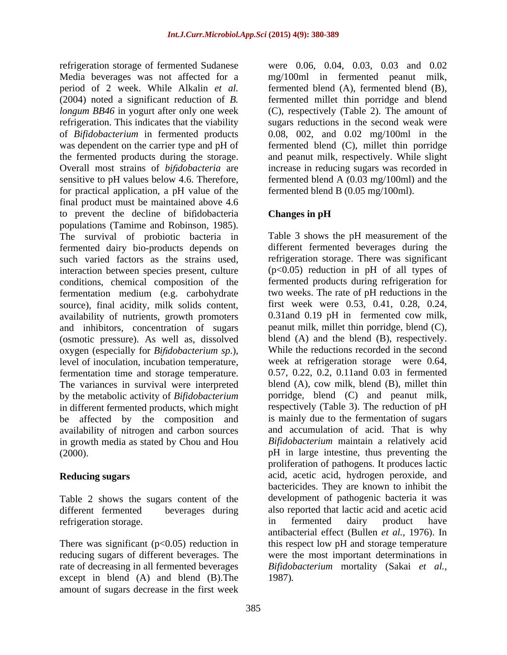refrigeration storage of fermented Sudanese were 0.06, 0.04, 0.03, 0.03 and 0.02 Media beverages was not affected for a mg/100ml in fermented peanut milk, period of 2 week. While Alkalin *et al.* fermented blend (A), fermented blend (B), (2004) noted a significant reduction of *B.* fermented millet thin porridge and blend *longum BB46* in yogurt after only one week refrigeration. This indicates that the viability sugars reductions in the second weak were of *Bifidobacterium* in fermented products 0.08, 002, and 0.02 mg/100ml in the was dependent on the carrier type and pH of fermented blend (C), millet thin porridge the fermented products during the storage. and peanut milk, respectively. While slight Overall most strains of *bifidobacteria* are increase in reducing sugars was recorded in sensitive to pH values below 4.6. Therefore, fermented blend A (0.03 mg/100ml) and the for practical application, a pH value of the final product must be maintained above 4.6 to prevent the decline of bifidobacteria Changes in pH populations (Tamime and Robinson, 1985). The survival of probiotic bacteria in fermented dairy bio-products depends on such varied factors as the strains used, refrigeration storage. There was significant interaction between species present, culture conditions, chemical composition of the fermentation medium (e.g. carbohydrate source), final acidity, milk solids content, availability of nutrients, growth promoters and inhibitors, concentration of sugars (osmotic pressure). As well as, dissolved oxygen (especially for *Bi dobacterium sp*.), level of inoculation, incubation temperature, fermentation time and storage temperature. The variances in survival were interpreted by the metabolic activity of *Bifidobacterium* porridge, blend (C) and peanut milk, in different fermented products, which might be affected by the composition and availability of nitrogen and carbon sources in growth media as stated by Chou and Hou arbitransion storage of fremenetal Stadeause were 0.05, 0.03, 0.03, 0.03, 0.03, 0.03, 0.03, 0.03, 0.03, 0.03, 0.03, 0.03, 0.03, 0.03, 0.03, 0.03, 0.03, 0.03, 0.03, 0.03, 0.03, 0.03, 0.03, 0.03, 0.03, 0.03, 0.03, 0.03, 0.

Table 2 shows the sugars content of the

There was significant  $(p<0.05)$  reduction in except in blend (A) and blend (B).The

(C), respectively (Table 2). The amount of fermented blend B (0.05 mg/100ml).

# **Changes in pH**

(2000). pH in large intestine, thus preventing the **Reducing sugars** acid, acetic acid, hydrogen peroxide, and different fermented beverages during also reported that lactic acid and acetic acid refrigeration storage. The same state of the settlement of the settlement of the settlement of the settlement o reducing sugars of different beverages. The were the most important determinations in rate of decreasing in all fermented beverages *Bifidobacterium* mortality (Sakai *et al.,* Table 3 shows the pH measurement of the different fermented beverages during the  $(p<0.05)$  reduction in pH of all types of fermented products during refrigeration for two weeks. The rate of pH reductions in the first week were 0.53, 0.41, 0.28, 0.24, 0.31and 0.19 pH in fermented cow milk, peanut milk, millet thin porridge, blend (C), blend (A) and the blend (B), respectively. While the reductions recorded in the second week at refrigeration storage were 0.64, 0.57, 0.22, 0.2, 0.11and 0.03 in fermented blend (A), cow milk, blend (B), millet thin respectively (Table 3). The reduction of pH is mainly due to the fermentation of sugars and accumulation of acid. That is why *Bifidobacterium* maintain a relatively acid proliferation of pathogens. It produces lactic bactericides. They are known to inhibit the development of pathogenic bacteria it was in fermented dairy product have antibacterial effect (Bullen *et al.,* 1976). In this respect low pH and storage temperature 1987)*.*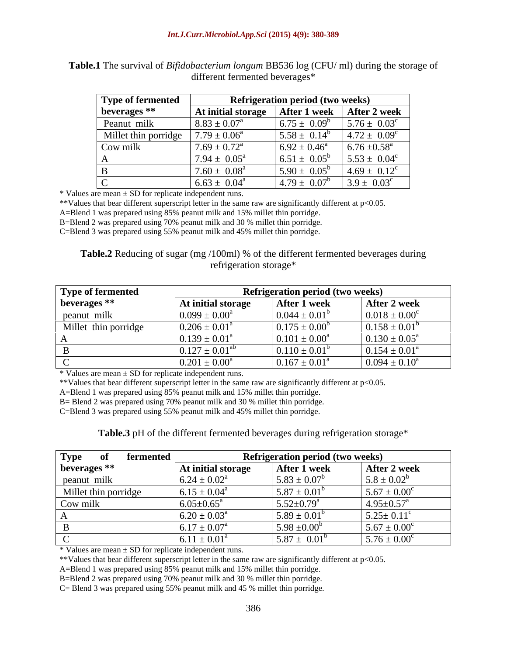| Type of fermented    |                            | <b>Refrigeration period (two weeks)</b> |                            |
|----------------------|----------------------------|-----------------------------------------|----------------------------|
| beverages **         | At initial storage         | After 1 week                            | After 2 week               |
| Peanut milk          | $8.83 \pm 0.07^{\text{a}}$ | $6.75 \pm 0.09^b$                       | $5.76 \pm 0.03^c$          |
| Millet thin porridge | $7.79 \pm 0.06^a$          | $5.58 \pm 0.14^b$                       | $4.72 \pm 0.09^c$          |
| $\log$ Cow milk      | $7.69 \pm 0.72^{\text{a}}$ | $6.92 \pm 0.46^{\circ}$                 | $6.76 \pm 0.58^{\text{a}}$ |
|                      | $7.94 \pm 0.05^{\text{a}}$ | $6.51 \pm 0.05^b$                       | $5.53 \pm 0.04^c$          |
|                      | $7.60 \pm 0.08^{\text{a}}$ | $5.90 \pm 0.05^{\circ}$                 | $4.69 \pm 0.12^c$          |
| $\sim$               | $6.63 \pm 0.04^{\circ}$    | $14.79 \pm 0.07^b$                      | $3.9 \pm 0.03^c$           |

**Table.1** The survival of *Bifidobacterium longum* BB536 log (CFU/ ml) during the storage of different fermented beverages\*

 $*$  Values are mean  $\pm$  SD for replicate independent runs.

\*\*Values that bear different superscript letter in the same raw are significantly different at p<0.05.

A=Blend 1 was prepared using 85% peanut milk and 15% millet thin porridge.

B=Blend 2 was prepared using 70% peanut milk and 30 % millet thin porridge.

C=Blend 3 was prepared using 55% peanut milk and 45% millet thin porridge.

**Table.2** Reducing of sugar (mg /100ml) % of the different fermented beverages during refrigeration storage\*

| <b>Type of fermented</b> |                          | <b>Refrigeration period (two weeks)</b> |                             |
|--------------------------|--------------------------|-----------------------------------------|-----------------------------|
| beverages **             | At initial storage       | After 1 week                            | After 2 week                |
| peanut milk              | $0.099 \pm 0.00^{\circ}$ | $0.044 \pm 0.01^b$                      | $0.018 \pm 0.00^{\circ}$    |
| Millet thin porridge     | $0.206 \pm 0.01^{\circ}$ | $0.175 \pm 0.00^b$                      | $0.158 \pm 0.01$            |
|                          | $0.139 \pm 0.01^{\circ}$ | $0.101 \pm 0.00^a$                      | $0.130 \pm 0.05^{\text{a}}$ |
|                          | $0.127 \pm 0.01^{ab}$    | $0.110 \pm 0.01^b$                      | $0.154 \pm 0.01^{\text{a}}$ |
|                          | $0.201 \pm 0.00^a$       | $0.167 \pm 0.01^{\text{a}}$             | $0.094 \pm 0.10^a$          |

\* Values are mean ± SD for replicate independent runs.

\*\*Values that bear different superscript letter in the same raw are significantly different at p<0.05.

A=Blend 1 was prepared using 85% peanut milk and 15% millet thin porridge.

B= Blend 2 was prepared using 70% peanut milk and 30 % millet thin porridge.

C=Blend 3 was prepared using 55% peanut milk and 45% millet thin porridge.

**Table.3** pH of the different fermented beverages during refrigeration storage\*

| <b>Type</b><br>fermented |                            | <b>Refrigeration period (two weeks)</b> |                              |
|--------------------------|----------------------------|-----------------------------------------|------------------------------|
| beverages **             | At initial storage         | After 1 week                            | After 2 week                 |
| peanut milk              | $6.24 \pm 0.02^{\rm a}$    | $1.5.83 \pm 0.07^{\circ}$               | $5.8 \pm 0.02^b$             |
| Millet thin porridge     | $6.15 \pm 0.04^{\circ}$    | $15.87 \pm 0.01^{\circ}$                | $1.5.67 \pm 0.00^{\circ}$    |
| Cow milk                 | $6.05 \pm 0.65^{\text{a}}$ | $5.52 \pm 0.79^{\text{a}}$              | $4.95 \pm 0.57$ <sup>a</sup> |
|                          | $6.20 \pm 0.03^{\text{a}}$ | $5.89 \pm 0.01^b$                       | $5.25 \pm 0.11^{\circ}$      |
|                          | $6.17 \pm 0.07^{\text{a}}$ | $1.5.98 \pm 0.00^b$                     | $5.67 \pm 0.00^{\circ}$      |
|                          | $6.11 \pm 0.01^a$          | $5.87 \pm 0.01^b$                       | $5.76 \pm 0.00^c$            |

 $*$  Values are mean  $\pm$  SD for replicate independent runs.

\*\*Values that bear different superscript letter in the same raw are significantly different at p<0.05.

A=Blend 1 was prepared using 85% peanut milk and 15% millet thin porridge.

B=Blend 2 was prepared using 70% peanut milk and 30 % millet thin porridge.

C= Blend 3 was prepared using 55% peanut milk and 45 % millet thin porridge.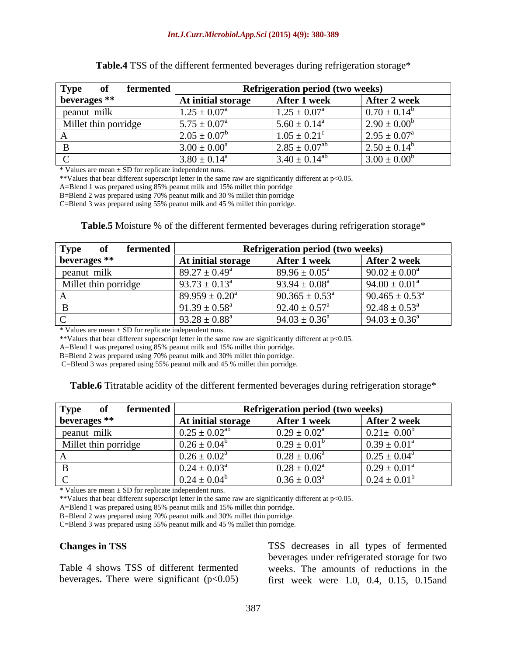| <b>Type</b><br>fermented |                            | <b>Refrigeration period (two weeks)</b> |                            |
|--------------------------|----------------------------|-----------------------------------------|----------------------------|
| beverages **             | At initial storage         | After 1 week                            | After 2 week               |
| peanut milk              | $1.25 \pm 0.07^{\text{a}}$ | $1.25 \pm 0.07^{\text{a}}$              | $0.70 \pm 0.14^b$          |
| Millet thin porridge     | $5.75 \pm 0.07^{\rm a}$    | $5.60 \pm 0.14^{\circ}$                 | $2.90 \pm 0.00^b$          |
|                          | $2.05 \pm 0.07^b$          | $1.05 \pm 0.21^{\circ}$                 | $2.95 \pm 0.07^{\text{a}}$ |
|                          | $3.00 \pm 0.00^a$          | $2.85 \pm 0.07^{ab}$                    | $2.50 \pm 0.14^b$          |
|                          | $3.80 \pm 0.14^{\text{a}}$ | $3.40 \pm 0.14^{ab}$                    | $3.00 \pm 0.00^b$          |

| Table.4 TSS of<br>$\sim$ $\sim$ $\mu$ $\mu$ under the formented bever and divergent the set<br>a refrigeration storage |  |
|------------------------------------------------------------------------------------------------------------------------|--|
|                                                                                                                        |  |

 $*$  Values are mean  $\pm$  SD for replicate independent runs.

\*\*Values that bear different superscript letter in the same raw are significantly different at p<0.05.

A=Blend 1 was prepared using 85% peanut milk and 15% millet thin porridge

B=Blend 2 was prepared using 70% peanut milk and 30 % millet thin porridge

C=Blend 3 was prepared using 55% peanut milk and 45 % millet thin porridge.

| Table.5 Moistu<br>of the different ferm<br>mented beverages during refrigerat<br>-siofay |  |
|------------------------------------------------------------------------------------------|--|
|                                                                                          |  |

| <b>Type</b><br>fermented |                           | <b>Refrigeration period (two weeks)</b> |                              |
|--------------------------|---------------------------|-----------------------------------------|------------------------------|
| beverages **             | At initial storage        | After 1 week                            | After 2 week                 |
| peanut milk              | $89.27 \pm 0.49^{\circ}$  | $89.96 \pm 0.05^{\circ}$                | $90.02 \pm 0.00^a$           |
| Millet thin porridge     | $93.73 \pm 0.13^{\circ}$  | $93.94 \pm 0.08^{\text{a}}$             | $94.00 \pm 0.01^{\text{a}}$  |
|                          | $89.959 \pm 0.20^{\circ}$ | $90.365 \pm 0.53^{\text{a}}$            | $90.465 \pm 0.53^{\text{a}}$ |
|                          | $91.39 \pm 0.58^{\circ}$  | $92.40 \pm 0.57^{\circ}$                | $92.48 \pm 0.53^{\circ}$     |
|                          | $93.28 \pm 0.88^{\circ}$  | $94.03 \pm 0.36^{\circ}$                | $94.03 \pm 0.36^{\circ}$     |

\* Values are mean ± SD for replicate independent runs.

\*\*Values that bear different superscript letter in the same raw are significantly different at p<0.05.

A=Blend 1 was prepared using 85% peanut milk and 15% millet thin porridge.

B=Blend 2 was prepared using 70% peanut milk and 30% millet thin porridge.

C=Blend 3 was prepared using 55% peanut milk and 45 % millet thin porridge.

**Table.6** Titratable acidity of the different fermented beverages during refrigeration storage\*

| Type<br>fermented    |                            | <b>Refrigeration period (two weeks)</b> |                            |
|----------------------|----------------------------|-----------------------------------------|----------------------------|
| beverages **         | At initial storage         | <b>After 1 week</b>                     | After 2 week               |
| peanut milk          | $0.25 \pm 0.02^{a}$        | $0.29 \pm 0.02^{\text{a}}$              | $0.21 \pm 0.00$            |
| Millet thin porridge | $0.26 \pm 0.04^b$          | $0.29 \pm 0.01$                         | $0.39 \pm 0.01^{\text{a}}$ |
|                      | $0.26 \pm 0.02^{\text{a}}$ | $0.28 \pm 0.06^a$                       | $0.25 \pm 0.04^{\text{a}}$ |
|                      | $0.24 \pm 0.03^{\circ}$    | $0.28 \pm 0.02^{\text{a}}$              | $0.29 \pm 0.01^{\text{a}}$ |
|                      | $0.24 \pm 0.04^b$          | $0.36 \pm 0.03^{\text{a}}$              | $0.24 \pm 0.01^b$          |

\* Values are mean ± SD for replicate independent runs.

\*\*Values that bear different superscript letter in the same raw are significantly different at p<0.05.

A=Blend 1 was prepared using 85% peanut milk and 15% millet thin porridge.

B=Blend 2 was prepared using 70% peanut milk and 30% millet thin porridge.

C=Blend 3 was prepared using 55% peanut milk and 45 % millet thin porridge.

**Changes in TSS**  TSS decreases in all types of fermented Table 4 shows TSS of different fermented weeks. The amounts of reductions in the beverages**.** There were significant (p<0.05) first week were 1.0, 0.4, 0.15, 0.15andbeverages under refrigerated storage for two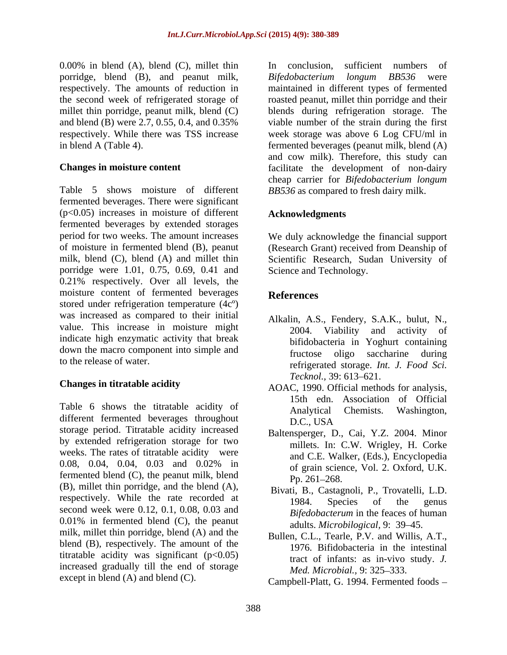0.00% in blend (A), blend (C), millet thin In conclusion, sufficient numbers of porridge, blend (B), and peanut milk, Bifedobacterium longum BB536 were respectively. The amounts of reduction in the second week of refrigerated storage of roasted peanut, millet thin porridge and their millet thin porridge, peanut milk, blend (C) blends during refrigeration storage. The and blend (B) were 2.7, 0.55, 0.4, and 0.35% viable number of the strain during the first respectively. While there was TSS increase week storage was above 6 Log CFU/ml in in blend A (Table 4). fermented beverages (peanut milk, blend (A)

Table 5 shows moisture of different *BB536* as compared to fresh dairy milk. fermented beverages. There were significant (p<0.05) increases in moisture of different fermented beverages by extended storages period for two weeks. The amount increases of moisture in fermented blend (B), peanut (Research Grant) received from Deanship of milk, blend (C), blend (A) and millet thin Scientific Research, Sudan University of porridge were 1.01, 0.75, 0.69, 0.41 and 0.21% respectively. Over all levels, the moisture content of fermented beverages References stored under refrigeration temperature (4cº) was increased as compared to their initial value. This increase in moisture might 2004. Viability and activity of indicate high enzymatic activity that break down the macro component into simple and<br>fructose oligo saccharine during

Table 6 shows the titratable acidity of Analytical Chemists. Washington. different fermented beverages throughout D.C., USA storage period. Titratable acidity increased by extended refrigeration storage for two weeks. The rates of titratable acidity were 0.08, 0.04, 0.04, 0.03 and 0.02% in  $\sigma$  of grain science Vol. 2 Oxford II K fermented blend (C), the peanut milk, blend  $\frac{61 \text{ g} \cdot \text{cm}}{Pp.261-268}$ . (B), millet thin porridge, and the blend (A), respectively. While the rate recorded at the 1984. Species of the genus second week were 0.12, 0.1, 0.08, 0.03 and 0.01% in fermented blend (C), the peanut milk, millet thin porridge, blend (A) and the blend (B), respectively. The amount of the titratable acidity was significant  $(p<0.05)$ increased gradually till the end of storage

**Changes in moisture content** facilitate the development of non-dairy In conclusion, sufficient numbers of *Bifedobacterium longum BB536* were maintained in different types of fermented viable number of the strain during the first and cow milk). Therefore, this study can cheap carrier for *Bifedobacterium longum*

# **Acknowledgments**

We duly acknowledge the financial support Science and Technology.

# **References**

- to the release of water. refrigerated storage. *Int. J. Food Sci.* Alkalin, A.S., Fendery, S.A.K., bulut, N., 2004. Viability and activity of bifidobacteria in Yoghurt containing fructose oligo saccharine during *Tecknol.,* 39: 613–621.
- **Changes in titratable acidity AOAC**, 1990. Official methods for analysis, 15th edn. Association of Official Analytical Chemists. Washington, D.C., USA
	- Baltensperger, D., Cai, Y.Z. 2004. Minor millets. In: C.W. Wrigley, H. Corke and C.E. Walker, (Eds.), Encyclopedia of grain science, Vol. 2. Oxford, U.K.  $Pp. 261 - 268.$
	- Bivati, B., Castagnoli, P., Trovatelli, L.D. 1984. Species of the genus *Bifedobacterum* in the feaces of human adults. *Microbilogical,* 9: 39 45.
	- Bullen, C.L., Tearle, P.V. and Willis, A.T., 1976. Bifidobacteria in the intestinal tract of infants: as in-vivo study. *J. Med. Microbial., 9: 325-333.*
- $\blacksquare$  except in blend (A) and blend (C). Campbell-Platt, G. 1994. Fermented foods –